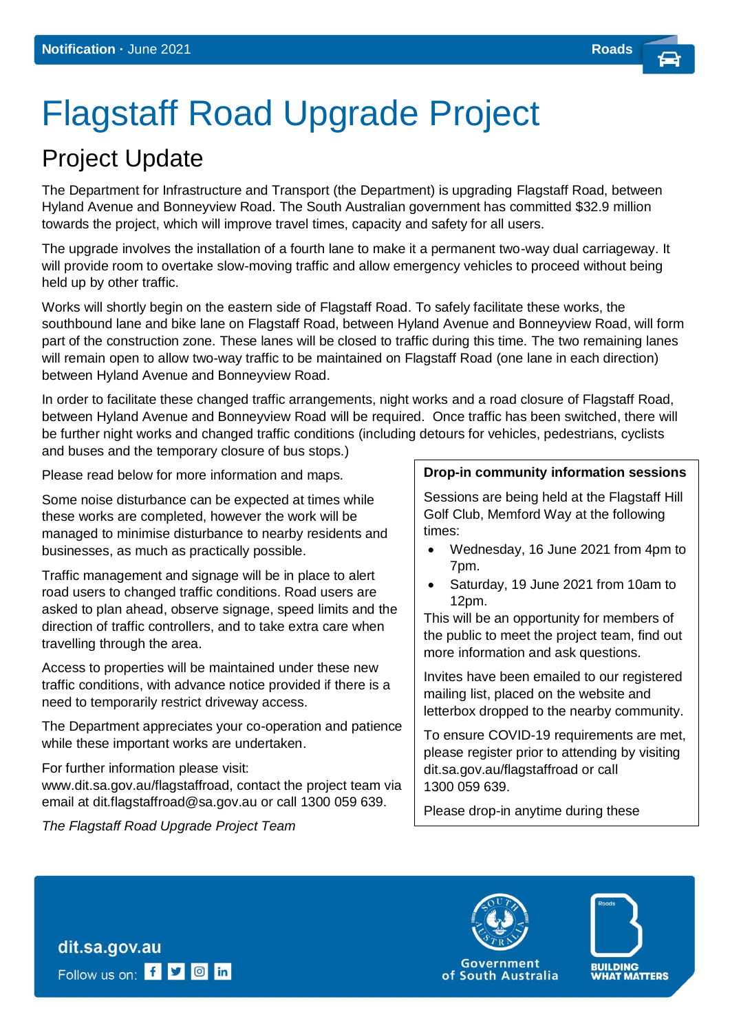# Flagstaff Road Upgrade Project

## Project Update

The Department for Infrastructure and Transport (the Department) is upgrading Flagstaff Road, between Hyland Avenue and Bonneyview Road. The South Australian government has committed \$32.9 million towards the project, which will improve travel times, capacity and safety for all users.

The upgrade involves the installation of a fourth lane to make it a permanent two-way dual carriageway. It will provide room to overtake slow-moving traffic and allow emergency vehicles to proceed without being held up by other traffic.

Works will shortly begin on the eastern side of Flagstaff Road. To safely facilitate these works, the southbound lane and bike lane on Flagstaff Road, between Hyland Avenue and Bonneyview Road, will form part of the construction zone. These lanes will be closed to traffic during this time. The two remaining lanes will remain open to allow two-way traffic to be maintained on Flagstaff Road (one lane in each direction) between Hyland Avenue and Bonneyview Road.

In order to facilitate these changed traffic arrangements, night works and a road closure of Flagstaff Road, between Hyland Avenue and Bonneyview Road will be required. Once traffic has been switched, there will be further night works and changed traffic conditions (including detours for vehicles, pedestrians, cyclists and buses and the temporary closure of bus stops.)

Please read below for more information and maps.

Some noise disturbance can be expected at times while these works are completed, however the work will be managed to minimise disturbance to nearby residents and businesses, as much as practically possible.

Traffic management and signage will be in place to alert road users to changed traffic conditions. Road users are asked to plan ahead, observe signage, speed limits and the direction of traffic controllers, and to take extra care when travelling through the area.

Access to properties will be maintained under these new traffic conditions, with advance notice provided if there is a need to temporarily restrict driveway access.

The Department appreciates your co-operation and patience while these important works are undertaken.

For further information please visit: [www.dit.sa.gov.au/flagstaffroad, c](http://www.dit.sa.gov.au/springbank)ontact the project team via email at [dit.flagstaffroad@sa.gov.au o](mailto:DIT.communityrelations@sa.gov.au)r call 1300 059 639.

*The Flagstaff Road Upgrade Project Team* 

dit.sa.gov.au

Follow us on: f **y o** in

#### **Drop-in community information sessions**

Sessions are being held at the Flagstaff Hill Golf Club, Memford Way at the following times:

- Wednesday, 16 June 2021 from 4pm to 7pm.
- Saturday, 19 June 2021 from 10am to 12pm.

This will be an opportunity for members of the public to meet the project team, find out more information and ask questions.

Invites have been emailed to our registered mailing list, placed on the website and letterbox dropped to the nearby community.

To ensure COVID-19 requirements are met, please register prior to attending by visiting dit.sa.gov.au/flagstaffroad or call 1300 059 639.

Please drop-in anytime during these

sessions.



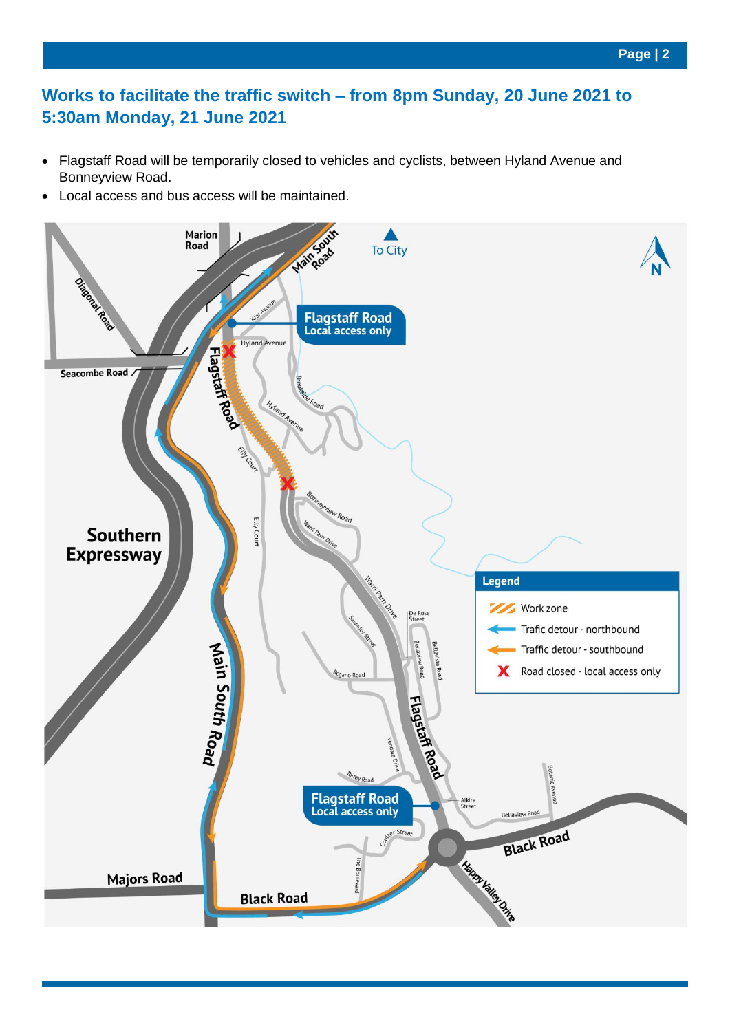#### **Works to facilitate the traffic switch – from 8pm Sunday, 20 June 2021 to 5:30am Monday, 21 June 2021**

- Flagstaff Road will be temporarily closed to vehicles and cyclists, between Hyland Avenue and Bonneyview Road.
- Local access and bus access will be maintained.

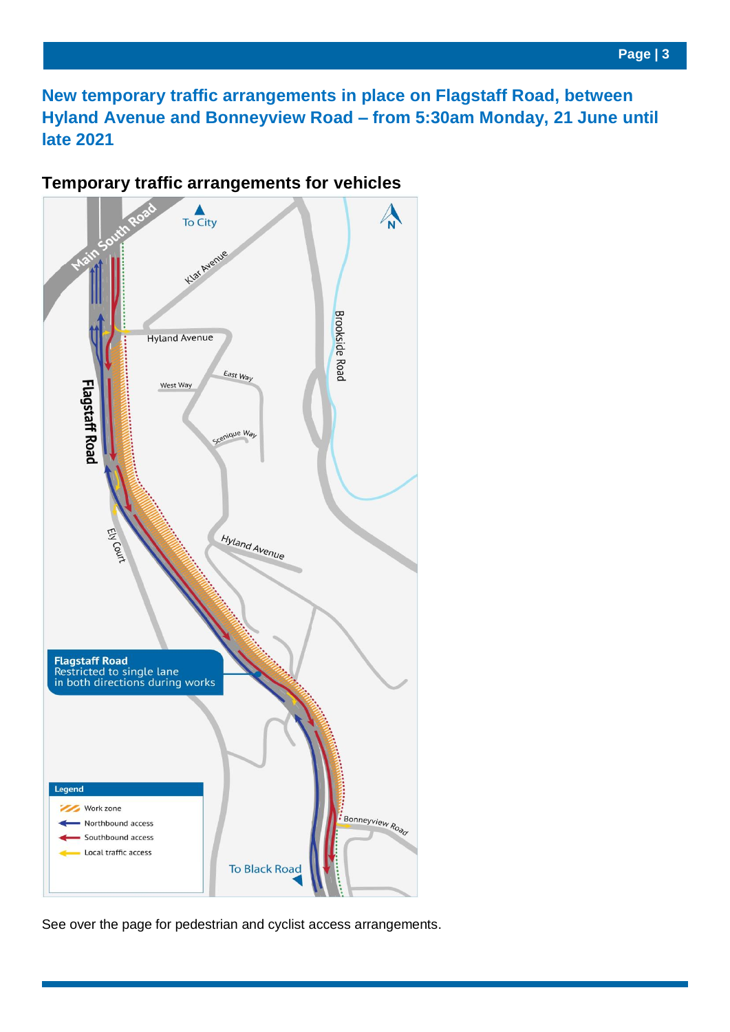**New temporary traffic arrangements in place on Flagstaff Road, between Hyland Avenue and Bonneyview Road – from 5:30am Monday, 21 June until late 2021**

#### **Temporary traffic arrangements for vehicles**



See over the page for pedestrian and cyclist access arrangements.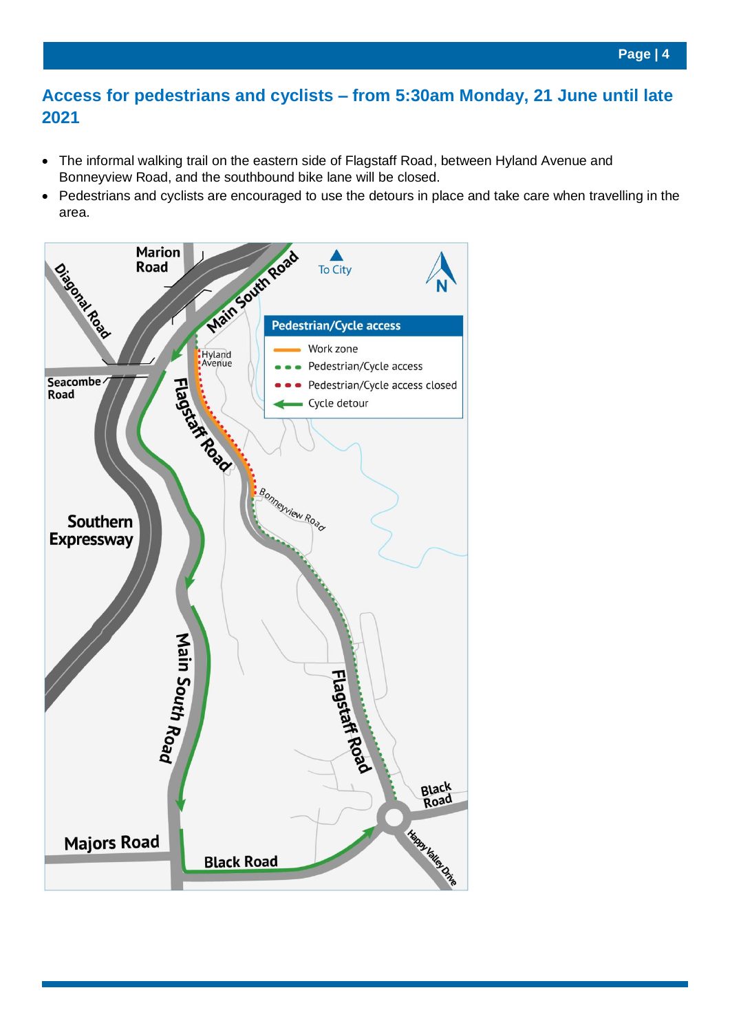#### **Access for pedestrians and cyclists – from 5:30am Monday, 21 June until late 2021**

- The informal walking trail on the eastern side of Flagstaff Road, between Hyland Avenue and Bonneyview Road, and the southbound bike lane will be closed.
- Pedestrians and cyclists are encouraged to use the detours in place and take care when travelling in the area.

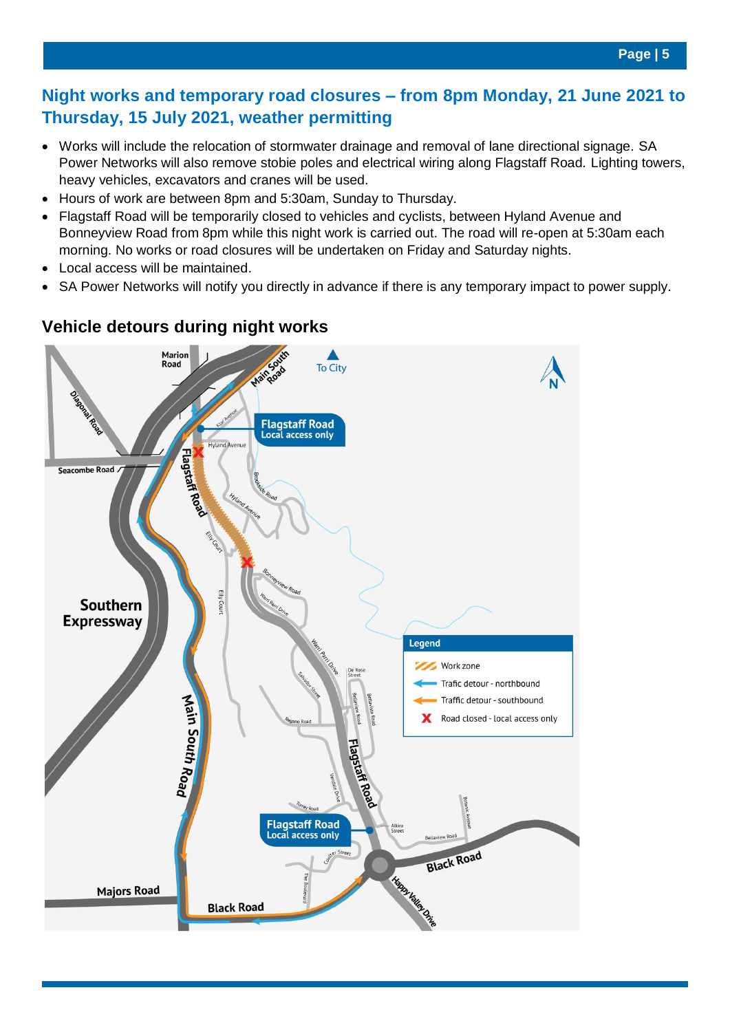#### **Night works and temporary road closures – from 8pm Monday, 21 June 2021 to Thursday, 15 July 2021, weather permitting**

- Works will include the relocation of stormwater drainage and removal of lane directional signage. SA Power Networks will also remove stobie poles and electrical wiring along Flagstaff Road. Lighting towers, heavy vehicles, excavators and cranes will be used.
- Hours of work are between 8pm and 5:30am, Sunday to Thursday.
- Flagstaff Road will be temporarily closed to vehicles and cyclists, between Hyland Avenue and Bonneyview Road from 8pm while this night work is carried out. The road will re-open at 5:30am each morning. No works or road closures will be undertaken on Friday and Saturday nights.
- Local access will be maintained.
- SA Power Networks will notify you directly in advance if there is any temporary impact to power supply.



### **Vehicle detours during night works**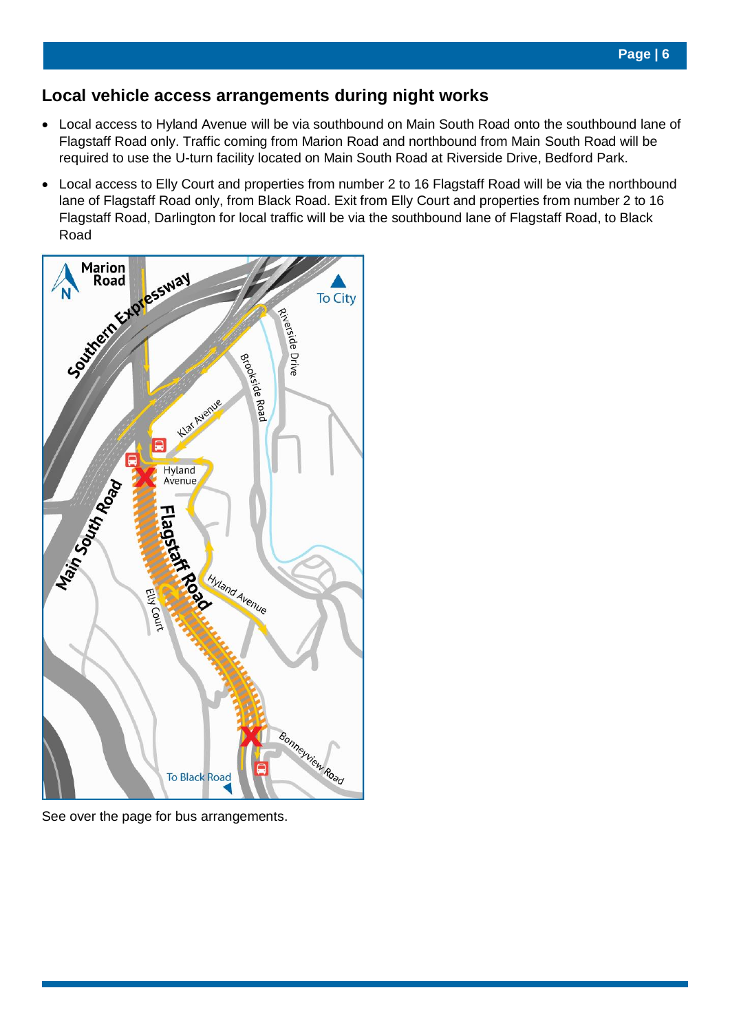#### **Local vehicle access arrangements during night works**

- Local access to Hyland Avenue will be via southbound on Main South Road onto the southbound lane of Flagstaff Road only. Traffic coming from Marion Road and northbound from Main South Road will be required to use the U-turn facility located on Main South Road at Riverside Drive, Bedford Park.
- Local access to Elly Court and properties from number 2 to 16 Flagstaff Road will be via the northbound lane of Flagstaff Road only, from Black Road. Exit from Elly Court and properties from number 2 to 16 Flagstaff Road, Darlington for local traffic will be via the southbound lane of Flagstaff Road, to Black



See over the page for bus arrangements.